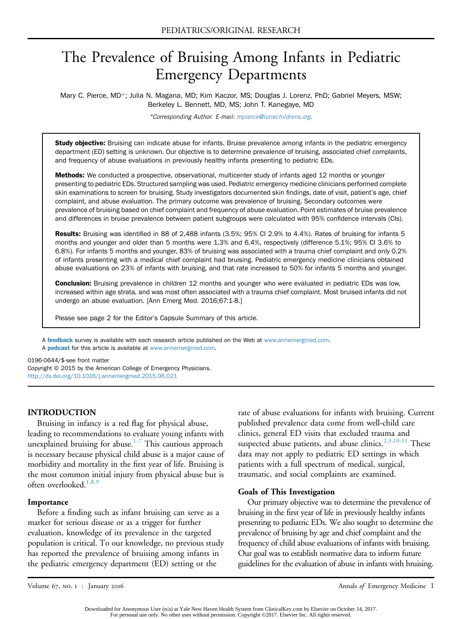# The Prevalence of Bruising Among Infants in Pediatric Emergency Departments

Mary C. Pierce, MD\*; Julia N. Magana, MD; Kim Kaczor, MS; Douglas J. Lorenz, PhD; Gabriel Meyers, MSW; Berkeley L. Bennett, MD, MS; John T. Kanegaye, MD

\*Corresponding Author. E-mail: [mpierce@luriechildrens.org](mailto:mpierce@luriechildrens.org).

Study objective: Bruising can indicate abuse for infants. Bruise prevalence among infants in the pediatric emergency department (ED) setting is unknown. Our objective is to determine prevalence of bruising, associated chief complaints, and frequency of abuse evaluations in previously healthy infants presenting to pediatric EDs.

Methods: We conducted a prospective, observational, multicenter study of infants aged 12 months or younger presenting to pediatric EDs. Structured sampling was used. Pediatric emergency medicine clinicians performed complete skin examinations to screen for bruising. Study investigators documented skin findings, date of visit, patient's age, chief complaint, and abuse evaluation. The primary outcome was prevalence of bruising. Secondary outcomes were prevalence of bruising based on chief complaint and frequency of abuse evaluation. Point estimates of bruise prevalence and differences in bruise prevalence between patient subgroups were calculated with 95% confidence intervals (CIs).

Results: Bruising was identified in 88 of 2,488 infants (3.5%; 95% CI 2.9% to 4.4%). Rates of bruising for infants 5 months and younger and older than 5 months were 1.3% and 6.4%, respectively (difference 5.1%; 95% CI 3.6% to 6.8%). For infants 5 months and younger, 83% of bruising was associated with a trauma chief complaint and only 0.2% of infants presenting with a medical chief complaint had bruising. Pediatric emergency medicine clinicians obtained abuse evaluations on 23% of infants with bruising, and that rate increased to 50% for infants 5 months and younger.

**Conclusion:** Bruising prevalence in children 12 months and younger who were evaluated in pediatric EDs was low, increased within age strata, and was most often associated with a trauma chief complaint. Most bruised infants did not undergo an abuse evaluation. [Ann Emerg Med. 2016;67:1-8.]

Please see page 2 for the Editor's Capsule Summary of this article.

A [feedback](https://www.surveymonkey.com/r/F6XWTQJ) survey is available with each research article published on the Web at [www.annemergmed.com.](http://www.annemergmed.com) A **[podcast](http://annemergmed.com/content/podcast)** for this article is available at [www.annemergmed.com](http://www.annemergmed.com).

0196-0644/\$-see front matter

Copyright © 2015 by the American College of Emergency Physicians. <http://dx.doi.org/10.1016/j.annemergmed.2015.06.021>

# INTRODUCTION

Bruising in infancy is a red flag for physical abuse, leading to recommendations to evaluate young infants with unexplained bruising for abuse.<sup>[1-7](#page-6-0)</sup> This cautious approach is necessary because physical child abuse is a major cause of morbidity and mortality in the first year of life. Bruising is the most common initial injury from physical abuse but is often overlooked.<sup>[1,8,9](#page-6-0)</sup>

#### Importance

Before a finding such as infant bruising can serve as a marker for serious disease or as a trigger for further evaluation, knowledge of its prevalence in the targeted population is critical. To our knowledge, no previous study has reported the prevalence of bruising among infants in the pediatric emergency department (ED) setting or the

rate of abuse evaluations for infants with bruising. Current published prevalence data come from well-child care clinics, general ED visits that excluded trauma and suspected abuse patients, and abuse clinics.<sup>[2,3,10,11](#page-6-1)</sup> These data may not apply to pediatric ED settings in which patients with a full spectrum of medical, surgical, traumatic, and social complaints are examined.

#### Goals of This Investigation

Our primary objective was to determine the prevalence of bruising in the first year of life in previously healthy infants presenting to pediatric EDs. We also sought to determine the prevalence of bruising by age and chief complaint and the frequency of child abuse evaluations of infants with bruising. Our goal was to establish normative data to inform future guidelines for the evaluation of abuse in infants with bruising.

Downloaded for Anonymous User (n/a) at Yale New Haven Health System from ClinicalKey.com by Elsevier on October 14, 2017. For personal use only. No other uses without permission. Copyright ©2017. Elsevier Inc. All rights reserved.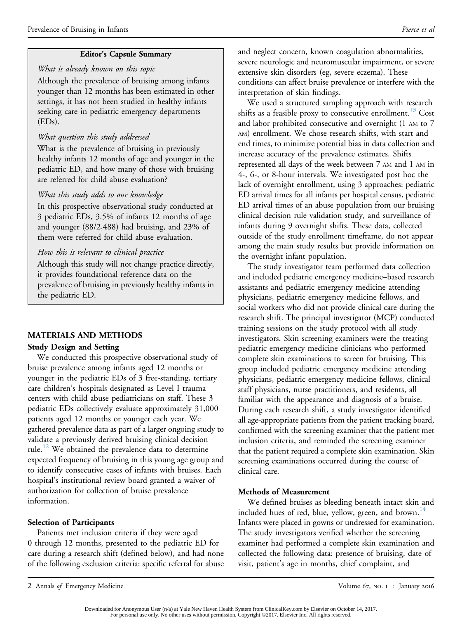# Editor's Capsule Summary

## What is already known on this topic

Although the prevalence of bruising among infants younger than 12 months has been estimated in other settings, it has not been studied in healthy infants seeking care in pediatric emergency departments (EDs).

# What question this study addressed

What is the prevalence of bruising in previously healthy infants 12 months of age and younger in the pediatric ED, and how many of those with bruising are referred for child abuse evaluation?

# What this study adds to our knowledge

In this prospective observational study conducted at 3 pediatric EDs, 3.5% of infants 12 months of age and younger (88/2,488) had bruising, and 23% of them were referred for child abuse evaluation.

# How this is relevant to clinical practice

Although this study will not change practice directly, it provides foundational reference data on the prevalence of bruising in previously healthy infants in the pediatric ED.

# MATERIALS AND METHODS

# Study Design and Setting

We conducted this prospective observational study of bruise prevalence among infants aged 12 months or younger in the pediatric EDs of 3 free-standing, tertiary care children's hospitals designated as Level I trauma centers with child abuse pediatricians on staff. These 3 pediatric EDs collectively evaluate approximately 31,000 patients aged 12 months or younger each year. We gathered prevalence data as part of a larger ongoing study to validate a previously derived bruising clinical decision rule.<sup>[12](#page-6-2)</sup> We obtained the prevalence data to determine expected frequency of bruising in this young age group and to identify consecutive cases of infants with bruises. Each hospital's institutional review board granted a waiver of authorization for collection of bruise prevalence information.

# Selection of Participants

Patients met inclusion criteria if they were aged 0 through 12 months, presented to the pediatric ED for care during a research shift (defined below), and had none of the following exclusion criteria: specific referral for abuse

and neglect concern, known coagulation abnormalities, severe neurologic and neuromuscular impairment, or severe extensive skin disorders (eg, severe eczema). These conditions can affect bruise prevalence or interfere with the interpretation of skin findings.

We used a structured sampling approach with research shifts as a feasible proxy to consecutive enrollment.<sup>[13](#page-6-3)</sup> Cost and labor prohibited consecutive and overnight (1 AM to 7 AM) enrollment. We chose research shifts, with start and end times, to minimize potential bias in data collection and increase accuracy of the prevalence estimates. Shifts represented all days of the week between 7 AM and 1 AM in 4-, 6-, or 8-hour intervals. We investigated post hoc the lack of overnight enrollment, using 3 approaches: pediatric ED arrival times for all infants per hospital census, pediatric ED arrival times of an abuse population from our bruising clinical decision rule validation study, and surveillance of infants during 9 overnight shifts. These data, collected outside of the study enrollment timeframe, do not appear among the main study results but provide information on the overnight infant population.

The study investigator team performed data collection and included pediatric emergency medicine–based research assistants and pediatric emergency medicine attending physicians, pediatric emergency medicine fellows, and social workers who did not provide clinical care during the research shift. The principal investigator (MCP) conducted training sessions on the study protocol with all study investigators. Skin screening examiners were the treating pediatric emergency medicine clinicians who performed complete skin examinations to screen for bruising. This group included pediatric emergency medicine attending physicians, pediatric emergency medicine fellows, clinical staff physicians, nurse practitioners, and residents, all familiar with the appearance and diagnosis of a bruise. During each research shift, a study investigator identified all age-appropriate patients from the patient tracking board, confirmed with the screening examiner that the patient met inclusion criteria, and reminded the screening examiner that the patient required a complete skin examination. Skin screening examinations occurred during the course of clinical care.

# Methods of Measurement

We defined bruises as bleeding beneath intact skin and included hues of red, blue, yellow, green, and brown.<sup>14</sup> Infants were placed in gowns or undressed for examination. The study investigators verified whether the screening examiner had performed a complete skin examination and collected the following data: presence of bruising, date of visit, patient's age in months, chief complaint, and

<sup>2</sup> Annals of Emergency Medicine Volume 67, no. 1 : January 2016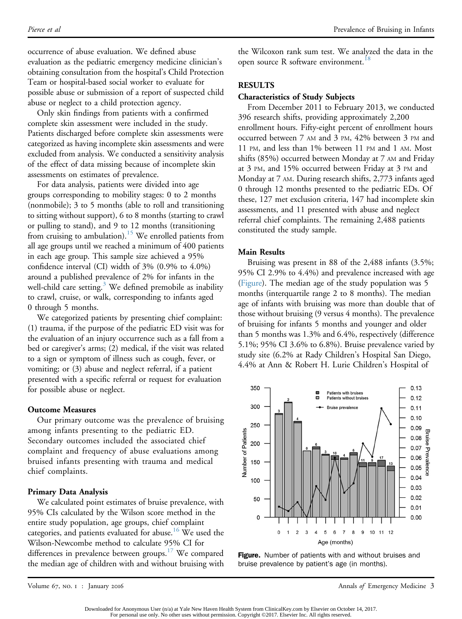occurrence of abuse evaluation. We defined abuse evaluation as the pediatric emergency medicine clinician's obtaining consultation from the hospital's Child Protection Team or hospital-based social worker to evaluate for possible abuse or submission of a report of suspected child abuse or neglect to a child protection agency.

Only skin findings from patients with a confirmed complete skin assessment were included in the study. Patients discharged before complete skin assessments were categorized as having incomplete skin assessments and were excluded from analysis. We conducted a sensitivity analysis of the effect of data missing because of incomplete skin assessments on estimates of prevalence.

For data analysis, patients were divided into age groups corresponding to mobility stages: 0 to 2 months (nonmobile); 3 to 5 months (able to roll and transitioning to sitting without support), 6 to 8 months (starting to crawl or pulling to stand), and 9 to 12 months (transitioning from cruising to ambulation).<sup>[15](#page-6-5)</sup> We enrolled patients from all age groups until we reached a minimum of 400 patients in each age group. This sample size achieved a 95% confidence interval (CI) width of 3% (0.9% to 4.0%) around a published prevalence of 2% for infants in the well-child care setting.<sup>3</sup> We defined premobile as inability to crawl, cruise, or walk, corresponding to infants aged 0 through 5 months.

We categorized patients by presenting chief complaint: (1) trauma, if the purpose of the pediatric ED visit was for the evaluation of an injury occurrence such as a fall from a bed or caregiver's arms; (2) medical, if the visit was related to a sign or symptom of illness such as cough, fever, or vomiting; or (3) abuse and neglect referral, if a patient presented with a specific referral or request for evaluation for possible abuse or neglect.

#### Outcome Measures

Our primary outcome was the prevalence of bruising among infants presenting to the pediatric ED. Secondary outcomes included the associated chief complaint and frequency of abuse evaluations among bruised infants presenting with trauma and medical chief complaints.

## Primary Data Analysis

We calculated point estimates of bruise prevalence, with 95% CIs calculated by the Wilson score method in the entire study population, age groups, chief complaint categories, and patients evaluated for abuse.<sup>[16](#page-6-7)</sup> We used the Wilson-Newcombe method to calculate 95% CI for differences in prevalence between groups.<sup>[17](#page-6-8)</sup> We compared the median age of children with and without bruising with the Wilcoxon rank sum test. We analyzed the data in the open source R software environment.<sup>[18](#page-7-0)</sup>

### RESULTS

### Characteristics of Study Subjects

From December 2011 to February 2013, we conducted 396 research shifts, providing approximately 2,200 enrollment hours. Fifty-eight percent of enrollment hours occurred between 7 AM and 3 PM, 42% between 3 PM and 11 PM, and less than 1% between 11 PM and 1 AM. Most shifts (85%) occurred between Monday at 7 AM and Friday at 3 PM, and 15% occurred between Friday at 3 PM and Monday at 7 AM. During research shifts, 2,773 infants aged 0 through 12 months presented to the pediatric EDs. Of these, 127 met exclusion criteria, 147 had incomplete skin assessments, and 11 presented with abuse and neglect referral chief complaints. The remaining 2,488 patients constituted the study sample.

## Main Results

Bruising was present in 88 of the 2,488 infants (3.5%; 95% CI 2.9% to 4.4%) and prevalence increased with age ([Figure\)](#page-2-0). The median age of the study population was 5 months (interquartile range 2 to 8 months). The median age of infants with bruising was more than double that of those without bruising (9 versus 4 months). The prevalence of bruising for infants 5 months and younger and older than 5 months was 1.3% and 6.4%, respectively (difference 5.1%; 95% CI 3.6% to 6.8%). Bruise prevalence varied by study site (6.2% at Rady Children's Hospital San Diego, 4.4% at Ann & Robert H. Lurie Children's Hospital of

<span id="page-2-0"></span>



Volume 67, no. 1 : January 2016 Annals of Emergency Medicine 3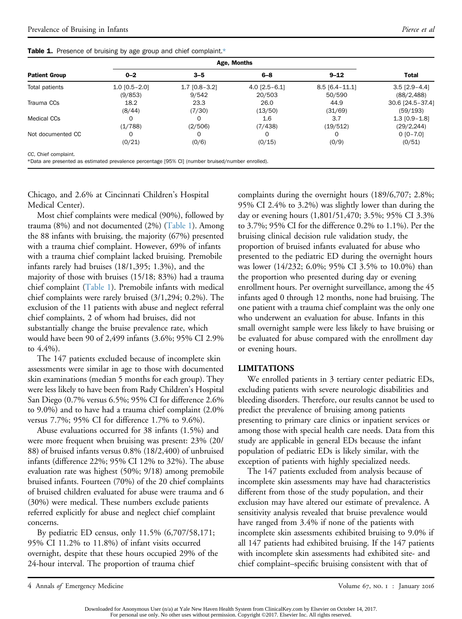|  |  |  |  |  |  |  |  |  | Table 1. Presence of bruising by age group and chief complaint.* |  |
|--|--|--|--|--|--|--|--|--|------------------------------------------------------------------|--|
|--|--|--|--|--|--|--|--|--|------------------------------------------------------------------|--|

| <b>Patient Group</b>                                                                              | $0 - 2$           | $3 - 5$         | $6 - 8$         | $9 - 12$         | <b>Total</b>     |  |
|---------------------------------------------------------------------------------------------------|-------------------|-----------------|-----------------|------------------|------------------|--|
| Total patients                                                                                    | $1.0$ [0.5 - 2.0] | $1.7$ [0.8-3.2] | $4.0$ [2.5-6.1] | $8.5$ [6.4-11.1] | $3.5$ [2.9-4.4]  |  |
|                                                                                                   | (9/853)           | 9/542           | 20/503          | 50/590           | (88/2, 488)      |  |
| Trauma CCs                                                                                        | 18.2              | 23.3            | 26.0            | 44.9             | 30.6 [24.5-37.4] |  |
|                                                                                                   | (8/44)            | (7/30)          | (13/50)         | (31/69)          | (59/193)         |  |
| <b>Medical CCs</b>                                                                                | $\Omega$          |                 | 1.6             | 3.7              | $1.3$ [0.9-1.8]  |  |
|                                                                                                   | (1/788)           | (2/506)         | (7/438)         | (19/512)         | (29/2, 244)      |  |
| Not documented CC                                                                                 | $\Omega$          |                 | $\Omega$        | $\Omega$         | $0 [0 - 7.0]$    |  |
|                                                                                                   | (0/21)            | (0/6)           | (0/15)          | (0/9)            | (0/51)           |  |
| CC, Chief complaint.                                                                              |                   |                 |                 |                  |                  |  |
| *Data are presented as estimated prevalence percentage [95% CI] (number bruised/number enrolled). |                   |                 |                 |                  |                  |  |

<span id="page-3-1"></span><span id="page-3-0"></span>Chicago, and 2.6% at Cincinnati Children's Hospital Medical Center).

Most chief complaints were medical (90%), followed by trauma (8%) and not documented (2%) [\(Table 1](#page-3-0)). Among the 88 infants with bruising, the majority (67%) presented with a trauma chief complaint. However, 69% of infants with a trauma chief complaint lacked bruising. Premobile infants rarely had bruises (18/1,395; 1.3%), and the majority of those with bruises (15/18; 83%) had a trauma chief complaint ([Table 1\)](#page-3-0). Premobile infants with medical chief complaints were rarely bruised (3/1,294; 0.2%). The exclusion of the 11 patients with abuse and neglect referral chief complaints, 2 of whom had bruises, did not substantially change the bruise prevalence rate, which would have been 90 of 2,499 infants (3.6%; 95% CI 2.9% to 4.4%).

The 147 patients excluded because of incomplete skin assessments were similar in age to those with documented skin examinations (median 5 months for each group). They were less likely to have been from Rady Children's Hospital San Diego (0.7% versus 6.5%; 95% CI for difference 2.6% to 9.0%) and to have had a trauma chief complaint (2.0% versus 7.7%; 95% CI for difference 1.7% to 9.6%).

Abuse evaluations occurred for 38 infants (1.5%) and were more frequent when bruising was present: 23% (20/ 88) of bruised infants versus 0.8% (18/2,400) of unbruised infants (difference 22%; 95% CI 12% to 32%). The abuse evaluation rate was highest (50%; 9/18) among premobile bruised infants. Fourteen (70%) of the 20 chief complaints of bruised children evaluated for abuse were trauma and 6 (30%) were medical. These numbers exclude patients referred explicitly for abuse and neglect chief complaint concerns.

By pediatric ED census, only 11.5% (6,707/58,171; 95% CI 11.2% to 11.8%) of infant visits occurred overnight, despite that these hours occupied 29% of the 24-hour interval. The proportion of trauma chief

complaints during the overnight hours (189/6,707; 2.8%; 95% CI 2.4% to 3.2%) was slightly lower than during the day or evening hours (1,801/51,470; 3.5%; 95% CI 3.3% to 3.7%; 95% CI for the difference 0.2% to 1.1%). Per the bruising clinical decision rule validation study, the proportion of bruised infants evaluated for abuse who presented to the pediatric ED during the overnight hours was lower (14/232; 6.0%; 95% CI 3.5% to 10.0%) than the proportion who presented during day or evening enrollment hours. Per overnight surveillance, among the 45 infants aged 0 through 12 months, none had bruising. The one patient with a trauma chief complaint was the only one who underwent an evaluation for abuse. Infants in this small overnight sample were less likely to have bruising or be evaluated for abuse compared with the enrollment day or evening hours.

#### LIMITATIONS

We enrolled patients in 3 tertiary center pediatric EDs, excluding patients with severe neurologic disabilities and bleeding disorders. Therefore, our results cannot be used to predict the prevalence of bruising among patients presenting to primary care clinics or inpatient services or among those with special health care needs. Data from this study are applicable in general EDs because the infant population of pediatric EDs is likely similar, with the exception of patients with highly specialized needs.

The 147 patients excluded from analysis because of incomplete skin assessments may have had characteristics different from those of the study population, and their exclusion may have altered our estimate of prevalence. A sensitivity analysis revealed that bruise prevalence would have ranged from 3.4% if none of the patients with incomplete skin assessments exhibited bruising to 9.0% if all 147 patients had exhibited bruising. If the 147 patients with incomplete skin assessments had exhibited site- and chief complaint–specific bruising consistent with that of

<sup>4</sup> Annals of Emergency Medicine Volume 67, no. 1 : January 2016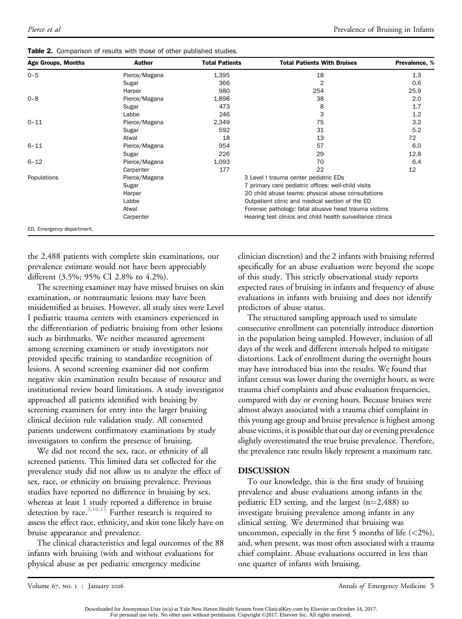| <b>Age Groups, Months</b> | <b>Author</b> | <b>Total Patients</b> | <b>Total Patients With Bruises</b>                         | Prevalence, % |
|---------------------------|---------------|-----------------------|------------------------------------------------------------|---------------|
| $0 - 5$                   | Pierce/Magana | 1,395                 | 18                                                         | 1.3           |
|                           | Sugar         | 366                   | 2                                                          | 0.6           |
|                           | Harper        | 980                   | 254                                                        | 25.9          |
| $0 - 8$                   | Pierce/Magana | 1,898                 | 38                                                         | 2.0           |
|                           | Sugar         | 473                   | 8                                                          | 1.7           |
|                           | Labbe         | 246                   | 3                                                          | 1.2           |
| $0 - 11$                  | Pierce/Magana | 2,349                 | 75                                                         | 3.2           |
|                           | Sugar         | 592                   | 31                                                         | 5.2           |
|                           | Atwal         | 18                    | 13                                                         | 72            |
| $6 - 11$                  | Pierce/Magana | 954                   | 57                                                         | 6.0           |
|                           | Sugar         | 226                   | 29                                                         | 12.8          |
| $6 - 12$                  | Pierce/Magana | 1,093                 | 70                                                         | 6.4           |
|                           | Carpenter     | 177                   | 22                                                         | 12            |
| Populations               | Pierce/Magana |                       | 3 Level I trauma center pediatric EDs                      |               |
|                           | Sugar         |                       | 7 primary care pediatric offices: well-child visits        |               |
|                           | Harper        |                       | 20 child abuse teams: physical abuse consultations         |               |
|                           | Labbe         |                       | Outpatient clinic and medical section of the ED            |               |
|                           | Atwal         |                       | Forensic pathology: fatal abusive head trauma victims      |               |
|                           | Carpenter     |                       | Hearing test clinics and child health surveillance clinics |               |
| ED. Emergency department. |               |                       |                                                            |               |

| Table 2. Comparison of results with those of other published studies. |  |  |  |  |
|-----------------------------------------------------------------------|--|--|--|--|
|                                                                       |  |  |  |  |

<span id="page-4-0"></span>the 2,488 patients with complete skin examinations, our prevalence estimate would not have been appreciably different (3.5%; 95% CI 2.8% to 4.2%).

The screening examiner may have missed bruises on skin examination, or nontraumatic lesions may have been misidentified as bruises. However, all study sites were Level I pediatric trauma centers with examiners experienced in the differentiation of pediatric bruising from other lesions such as birthmarks. We neither measured agreement among screening examiners or study investigators nor provided specific training to standardize recognition of lesions. A second screening examiner did not confirm negative skin examination results because of resource and institutional review board limitations. A study investigator approached all patients identified with bruising by screening examiners for entry into the larger bruising clinical decision rule validation study. All consented patients underwent confirmatory examinations by study investigators to confirm the presence of bruising.

We did not record the sex, race, or ethnicity of all screened patients. This limited data set collected for the prevalence study did not allow us to analyze the effect of sex, race, or ethnicity on bruising prevalence. Previous studies have reported no difference in bruising by sex, whereas at least 1 study reported a difference in bruise detection by race. $^{3,10,11}$  $^{3,10,11}$  $^{3,10,11}$  Further research is required to assess the effect race, ethnicity, and skin tone likely have on bruise appearance and prevalence.

The clinical characteristics and legal outcomes of the 88 infants with bruising (with and without evaluations for physical abuse as per pediatric emergency medicine

clinician discretion) and the 2 infants with bruising referred specifically for an abuse evaluation were beyond the scope of this study. This strictly observational study reports expected rates of bruising in infants and frequency of abuse evaluations in infants with bruising and does not identify predictors of abuse status.

The structured sampling approach used to simulate consecutive enrollment can potentially introduce distortion in the population being sampled. However, inclusion of all days of the week and different intervals helped to mitigate distortions. Lack of enrollment during the overnight hours may have introduced bias into the results. We found that infant census was lower during the overnight hours, as were trauma chief complaints and abuse evaluation frequencies, compared with day or evening hours. Because bruises were almost always associated with a trauma chief complaint in this young age group and bruise prevalence is highest among abuse victims, it is possible that our day or evening prevalence slightly overestimated the true bruise prevalence. Therefore, the prevalence rate results likely represent a maximum rate.

## DISCUSSION

To our knowledge, this is the first study of bruising prevalence and abuse evaluations among infants in the pediatric ED setting, and the largest  $(n=2,488)$  to investigate bruising prevalence among infants in any clinical setting. We determined that bruising was uncommon, especially in the first 5 months of life  $(<2\%)$ , and, when present, was most often associated with a trauma chief complaint. Abuse evaluations occurred in less than one quarter of infants with bruising.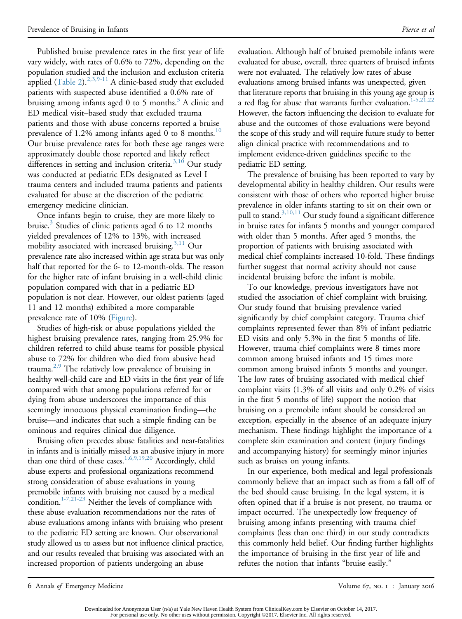Published bruise prevalence rates in the first year of life vary widely, with rates of 0.6% to 72%, depending on the population studied and the inclusion and exclusion criteria applied ([Table 2\)](#page-4-0).<sup>[2,3,9-11](#page-6-1)</sup> A clinic-based study that excluded patients with suspected abuse identified a 0.6% rate of bruising among infants aged 0 to 5 months.<sup>3</sup> A clinic and ED medical visit–based study that excluded trauma patients and those with abuse concerns reported a bruise prevalence of 1.2% among infants aged 0 to 8 months.<sup>[10](#page-6-9)</sup> Our bruise prevalence rates for both these age ranges were approximately double those reported and likely reflect differences in setting and inclusion criteria.<sup>[3,10](#page-6-6)</sup> Our study was conducted at pediatric EDs designated as Level I trauma centers and included trauma patients and patients evaluated for abuse at the discretion of the pediatric emergency medicine clinician.

Once infants begin to cruise, they are more likely to bruise.<sup>[3](#page-6-6)</sup> Studies of clinic patients aged 6 to 12 months yielded prevalences of 12% to 13%, with increased mobility associated with increased bruising.<sup>3,11</sup> Our prevalence rate also increased within age strata but was only half that reported for the 6- to 12-month-olds. The reason for the higher rate of infant bruising in a well-child clinic population compared with that in a pediatric ED population is not clear. However, our oldest patients (aged 11 and 12 months) exhibited a more comparable prevalence rate of 10% ([Figure](#page-2-0)).

Studies of high-risk or abuse populations yielded the highest bruising prevalence rates, ranging from 25.9% for children referred to child abuse teams for possible physical abuse to 72% for children who died from abusive head trauma.<sup>2,9</sup> The relatively low prevalence of bruising in healthy well-child care and ED visits in the first year of life compared with that among populations referred for or dying from abuse underscores the importance of this seemingly innocuous physical examination finding—the bruise—and indicates that such a simple finding can be ominous and requires clinical due diligence.

Bruising often precedes abuse fatalities and near-fatalities in infants and is initially missed as an abusive injury in more than one third of these cases.<sup>1,6,9,19,20</sup> Accordingly, child abuse experts and professional organizations recommend strong consideration of abuse evaluations in young premobile infants with bruising not caused by a medical condition.<sup>1-7,21-23</sup> Neither the levels of compliance with these abuse evaluation recommendations nor the rates of abuse evaluations among infants with bruising who present to the pediatric ED setting are known. Our observational study allowed us to assess but not influence clinical practice, and our results revealed that bruising was associated with an increased proportion of patients undergoing an abuse

evaluation. Although half of bruised premobile infants were evaluated for abuse, overall, three quarters of bruised infants were not evaluated. The relatively low rates of abuse evaluations among bruised infants was unexpected, given that literature reports that bruising in this young age group is a red flag for abuse that warrants further evaluation.<sup>[1-5,21,22](#page-6-0)</sup> However, the factors influencing the decision to evaluate for abuse and the outcomes of those evaluations were beyond the scope of this study and will require future study to better align clinical practice with recommendations and to implement evidence-driven guidelines specific to the pediatric ED setting.

The prevalence of bruising has been reported to vary by developmental ability in healthy children. Our results were consistent with those of others who reported higher bruise prevalence in older infants starting to sit on their own or pull to stand. $3,10,11$  Our study found a significant difference in bruise rates for infants 5 months and younger compared with older than 5 months. After aged 5 months, the proportion of patients with bruising associated with medical chief complaints increased 10-fold. These findings further suggest that normal activity should not cause incidental bruising before the infant is mobile.

To our knowledge, previous investigators have not studied the association of chief complaint with bruising. Our study found that bruising prevalence varied significantly by chief complaint category. Trauma chief complaints represented fewer than 8% of infant pediatric ED visits and only 5.3% in the first 5 months of life. However, trauma chief complaints were 8 times more common among bruised infants and 15 times more common among bruised infants 5 months and younger. The low rates of bruising associated with medical chief complaint visits (1.3% of all visits and only 0.2% of visits in the first 5 months of life) support the notion that bruising on a premobile infant should be considered an exception, especially in the absence of an adequate injury mechanism. These findings highlight the importance of a complete skin examination and context (injury findings and accompanying history) for seemingly minor injuries such as bruises on young infants.

In our experience, both medical and legal professionals commonly believe that an impact such as from a fall off of the bed should cause bruising. In the legal system, it is often opined that if a bruise is not present, no trauma or impact occurred. The unexpectedly low frequency of bruising among infants presenting with trauma chief complaints (less than one third) in our study contradicts this commonly held belief. Our finding further highlights the importance of bruising in the first year of life and refutes the notion that infants "bruise easily."

6 Annals of Emergency Medicine Volume 67, no. 1 : January 2016

Downloaded for Anonymous User (n/a) at Yale New Haven Health System from ClinicalKey.com by Elsevier on October 14, 2017.<br>For personal use only. No other uses without permission. Copyright ©2017. Elsevier Inc. All rights r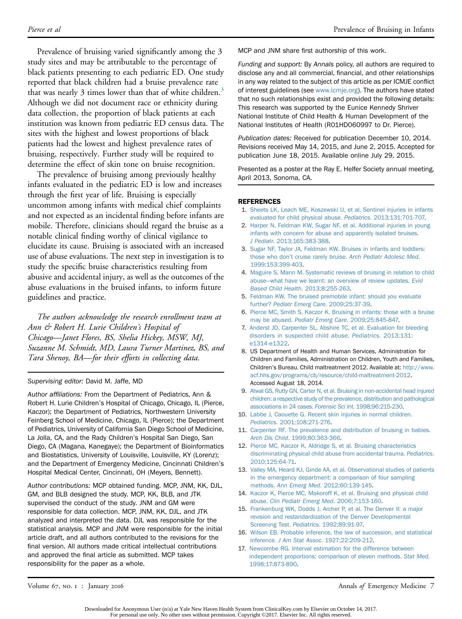Prevalence of bruising varied significantly among the 3 study sites and may be attributable to the percentage of black patients presenting to each pediatric ED. One study reported that black children had a bruise prevalence rate that was nearly [3](#page-6-6) times lower than that of white children.<sup>3</sup> Although we did not document race or ethnicity during data collection, the proportion of black patients at each institution was known from pediatric ED census data. The sites with the highest and lowest proportions of black patients had the lowest and highest prevalence rates of bruising, respectively. Further study will be required to determine the effect of skin tone on bruise recognition.

The prevalence of bruising among previously healthy infants evaluated in the pediatric ED is low and increases through the first year of life. Bruising is especially uncommon among infants with medical chief complaints and not expected as an incidental finding before infants are mobile. Therefore, clinicians should regard the bruise as a notable clinical finding worthy of clinical vigilance to elucidate its cause. Bruising is associated with an increased use of abuse evaluations. The next step in investigation is to study the specific bruise characteristics resulting from abusive and accidental injury, as well as the outcomes of the abuse evaluations in the bruised infants, to inform future guidelines and practice.

The authors acknowledge the research enrollment team at Ann & Robert H. Lurie Children's Hospital of Chicago—Janet Flores, BS, Shelia Hickey, MSW, MJ, Suzanne M. Schmidt, MD, Laura Turner Martinez, BS, and Tara Shenoy, BA—for their efforts in collecting data.

#### Supervising editor: David M. Jaffe, MD

Author affiliations: From the Department of Pediatrics, Ann & Robert H. Lurie Children's Hospital of Chicago, Chicago, IL (Pierce, Kaczor); the Department of Pediatrics, Northwestern University Feinberg School of Medicine, Chicago, IL (Pierce); the Department of Pediatrics, University of California San Diego School of Medicine, La Jolla, CA, and the Rady Children's Hospital San Diego, San Diego, CA (Magana, Kanegaye); the Department of Bioinformatics and Biostatistics, University of Louisville, Louisville, KY (Lorenz); and the Department of Emergency Medicine, Cincinnati Children's Hospital Medical Center, Cincinnati, OH (Meyers, Bennett).

Author contributions: MCP obtained funding. MCP, JNM, KK, DJL, GM, and BLB designed the study. MCP, KK, BLB, and JTK supervised the conduct of the study. JNM and GM were responsible for data collection. MCP, JNM, KK, DJL, and JTK analyzed and interpreted the data. DJL was responsible for the statistical analysis. MCP and JNM were responsible for the initial article draft, and all authors contributed to the revisions for the final version. All authors made critical intellectual contributions and approved the final article as submitted. MCP takes responsibility for the paper as a whole.

MCP and JNM share first authorship of this work.

Funding and support: By Annals policy, all authors are required to disclose any and all commercial, financial, and other relationships in any way related to the subject of this article as per ICMJE conflict of interest guidelines (see [www.icmje.org](http://www.icmje.org/)). The authors have stated that no such relationships exist and provided the following details: This research was supported by the Eunice Kennedy Shriver National Institute of Child Health & Human Development of the National Institutes of Health (R01HD060997 to Dr. Pierce).

Publication dates: Received for publication December 10, 2014. Revisions received May 14, 2015, and June 2, 2015. Accepted for publication June 18, 2015. Available online July 29, 2015.

Presented as a poster at the Ray E. Helfer Society annual meeting, April 2013, Sonoma, CA.

#### <span id="page-6-0"></span>REFERENCES

- 1. [Sheets LK, Leach ME, Koszewski IJ, et al. Sentinel injuries in infants](http://refhub.elsevier.com/S0196-0644(15)00527-2/sref1) [evaluated for child physical abuse.](http://refhub.elsevier.com/S0196-0644(15)00527-2/sref1) Pediatrics. 2013;131:701-707.
- <span id="page-6-1"></span>2. [Harper N, Feldman KW, Sugar NF, et al. Additional injuries in young](http://refhub.elsevier.com/S0196-0644(15)00527-2/sref2) [infants with concern for abuse and apparently isolated bruises.](http://refhub.elsevier.com/S0196-0644(15)00527-2/sref2) J Pediatr[. 2013;165:383-388](http://refhub.elsevier.com/S0196-0644(15)00527-2/sref2).
- <span id="page-6-6"></span>3. [Sugar NF, Taylor JA, Feldman KW. Bruises in infants and toddlers:](http://refhub.elsevier.com/S0196-0644(15)00527-2/sref3) those who don't cruise rarely bruise. [Arch Pediatr Adolesc Med](http://refhub.elsevier.com/S0196-0644(15)00527-2/sref3). [1999;153:399-403](http://refhub.elsevier.com/S0196-0644(15)00527-2/sref3).
- 4. [Maguire S, Mann M. Systematic reviews of bruising in relation to child](http://refhub.elsevier.com/S0196-0644(15)00527-2/sref4) [abuse](http://refhub.elsevier.com/S0196-0644(15)00527-2/sref4)—[what have we learnt: an overview of review updates.](http://refhub.elsevier.com/S0196-0644(15)00527-2/sref4) Evid [Based Child Health](http://refhub.elsevier.com/S0196-0644(15)00527-2/sref4). 2013;8:255-263.
- 5. [Feldman KW. The bruised premobile infant: should you evaluate](http://refhub.elsevier.com/S0196-0644(15)00527-2/sref5) further? [Pediatr Emerg Care](http://refhub.elsevier.com/S0196-0644(15)00527-2/sref5). 2009;25:37-39.
- 6. [Pierce MC, Smith S, Kaczor K. Bruising in infants: those with a bruise](http://refhub.elsevier.com/S0196-0644(15)00527-2/sref6) may be abused. [Pediatr Emerg Care](http://refhub.elsevier.com/S0196-0644(15)00527-2/sref6). 2009;25:845-847.
- 7. [Anderst JD, Carpenter SL, Abshire TC, et al. Evaluation for bleeding](http://refhub.elsevier.com/S0196-0644(15)00527-2/sref7) [disorders in suspected child abuse.](http://refhub.elsevier.com/S0196-0644(15)00527-2/sref7) Pediatrics. 2013;131: [e1314-e1322](http://refhub.elsevier.com/S0196-0644(15)00527-2/sref7).
- 8. US Department of Health and Human Services, Administration for Children and Families, Administration on Children, Youth and Families, Children's Bureau. Child maltreatment 2012. Available at: [http://www.](http://www.acf.hhs.gov/programs/cb/resource/child-maltreatment-2012) [acf.hhs.gov/programs/cb/resource/child-maltreatment-2012](http://www.acf.hhs.gov/programs/cb/resource/child-maltreatment-2012). Accessed August 18, 2014.
- 9. [Atwal GS, Rutty GN, Carter N, et al. Bruising in non-accidental head injured](http://refhub.elsevier.com/S0196-0644(15)00527-2/sref9) [children: a respective study of the prevalence, distribution and pathological](http://refhub.elsevier.com/S0196-0644(15)00527-2/sref9) [associations in 24 cases.](http://refhub.elsevier.com/S0196-0644(15)00527-2/sref9) Forensic Sci Int. 1998;96:215-230.
- <span id="page-6-9"></span>10. [Labbe J, Caouette G. Recent skin injuries in normal children.](http://refhub.elsevier.com/S0196-0644(15)00527-2/sref10) Pediatrics[. 2001;108:271-276.](http://refhub.elsevier.com/S0196-0644(15)00527-2/sref10)
- 11. [Carpenter RF. The prevalence and distribution of bruising in babies.](http://refhub.elsevier.com/S0196-0644(15)00527-2/sref11) Arch Dis Child[. 1999;80:363-366.](http://refhub.elsevier.com/S0196-0644(15)00527-2/sref11)
- <span id="page-6-2"></span>12. [Pierce MC, Kaczor K, Aldridge S, et al. Bruising characteristics](http://refhub.elsevier.com/S0196-0644(15)00527-2/sref12) [discriminating physical child abuse from accidental trauma.](http://refhub.elsevier.com/S0196-0644(15)00527-2/sref12) Pediatrics. [2010;125:64-71](http://refhub.elsevier.com/S0196-0644(15)00527-2/sref12).
- <span id="page-6-3"></span>13. [Valley MA, Heard KJ, Ginde AA, et al. Observational studies of patients](http://refhub.elsevier.com/S0196-0644(15)00527-2/sref13) [in the emergency department: a comparison of four sampling](http://refhub.elsevier.com/S0196-0644(15)00527-2/sref13) methods. Ann Emerg Med[. 2012;60:139-145](http://refhub.elsevier.com/S0196-0644(15)00527-2/sref13).
- <span id="page-6-4"></span>14. [Kaczor K, Pierce MC, Makoroff K, et al. Bruising and physical child](http://refhub.elsevier.com/S0196-0644(15)00527-2/sref14) abuse. [Clin Pediatr Emerg Med](http://refhub.elsevier.com/S0196-0644(15)00527-2/sref14). 2006;7:153-160.
- <span id="page-6-5"></span>15. [Frankenburg WK, Dodds J, Archer P, et al. The Denver II: a major](http://refhub.elsevier.com/S0196-0644(15)00527-2/sref15) [revision and restandardization of the Denver Developmental](http://refhub.elsevier.com/S0196-0644(15)00527-2/sref15) Screening Test. Pediatrics[. 1992;89:91-97.](http://refhub.elsevier.com/S0196-0644(15)00527-2/sref15)
- <span id="page-6-7"></span>16. [Wilson EB. Probable inference, the law of succession, and statistical](http://refhub.elsevier.com/S0196-0644(15)00527-2/sref16) inference. J Am Stat Assoc[. 1927;22:209-212](http://refhub.elsevier.com/S0196-0644(15)00527-2/sref16).
- <span id="page-6-8"></span>17. [Newcombe RG. Interval estimation for the difference between](http://refhub.elsevier.com/S0196-0644(15)00527-2/sref17) [independent proportions: comparison of eleven methods.](http://refhub.elsevier.com/S0196-0644(15)00527-2/sref17) Stat Med. [1998;17:873-890](http://refhub.elsevier.com/S0196-0644(15)00527-2/sref17).

Volume 67, no. 1 : January 2016 Annals of Emergency Medicine 7

Downloaded for Anonymous User (n/a) at Yale New Haven Health System from ClinicalKey.com by Elsevier on October 14, 2017. For personal use only. No other uses without permission. Copyright ©2017. Elsevier Inc. All rights reserved.